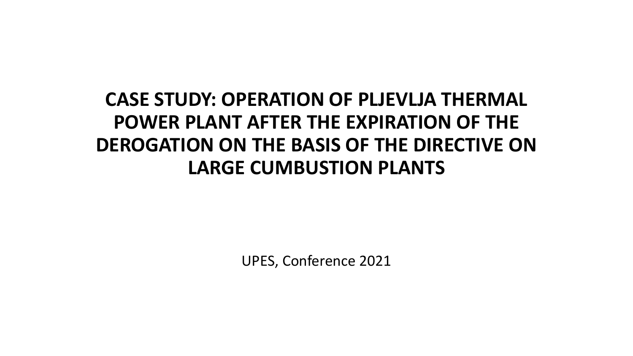## **CASE STUDY: OPERATION OF PLJEVLJA THERMAL POWER PLANT AFTER THE EXPIRATION OF THE DEROGATION ON THE BASIS OF THE DIRECTIVE ON LARGE CUMBUSTION PLANTS**

UPES, Conference 2021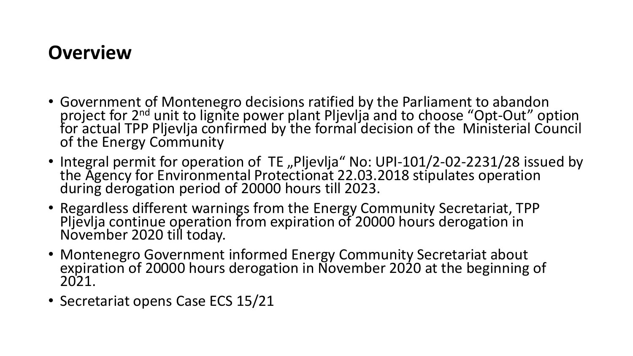## **Overview**

- Government of Montenegro decisions ratified by the Parliament to abandon project for 2<sup>nd</sup> unit to lignite power plant Pljevlja and to choose "Opt-Out" option for actual TPP Pljevlja confirmed by the formal decision of the Ministerial Council of the Energy Community
- Integral permit for operation of TE "Pljevlja" No: UPI-101/2-02-2231/28 issued by the Agency for Environmental Protectionat 22.03.2018 stipulates operation during derogation period of 20000 hours till 2023.
- Regardless different warnings from the Energy Community Secretariat, TPP Pljevlja continue operation from expiration of 20000 hours derogation in November 2020 till today.
- Montenegro Government informed Energy Community Secretariat about expiration of 20000 hours derogation in November 2020 at the beginning of 2021.
- Secretariat opens Case ECS 15/21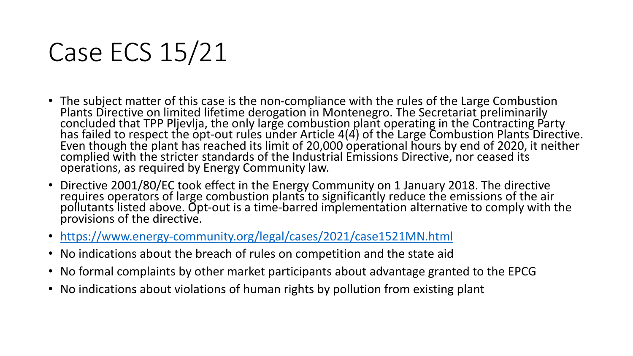## Case ECS 15/21

- The subject matter of this case is the non-compliance with the rules of the Large Combustion Plants Directive on limited lifetime derogation in Montenegro. The Secretariat preliminarily concluded that TPP Pljevlja, the only large combustion plant operating in the Contracting Party has failed to respect the opt-out rules under Article 4(4) of the Large Combustion Plants Directive. Even though the plant has reached its limit of 20,000 operational hours by end of 2020, it neither complied with the stricter standards of the Industrial Emissions Directive, nor ceased its operations, as required by Energy Community law.
- Directive 2001/80/EC took effect in the Energy Community on 1 January 2018. The directive requires operators of large combustion plants to significantly reduce the emissions of the air pollutants listed above. Opt-out is a time-barred implementation alternative to comply with the provisions of the directive.
- <https://www.energy-community.org/legal/cases/2021/case1521MN.html>
- No indications about the breach of rules on competition and the state aid
- No formal complaints by other market participants about advantage granted to the EPCG
- No indications about violations of human rights by pollution from existing plant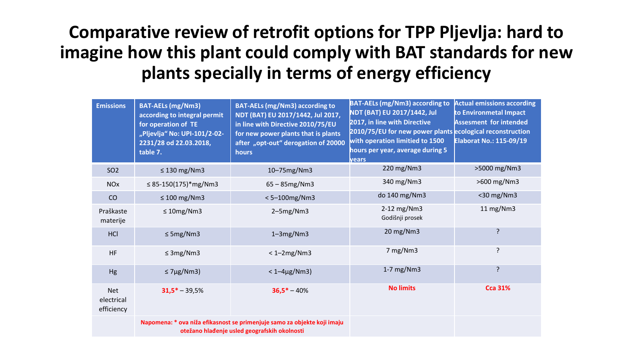**Comparative review of retrofit options for TPP Pljevlja: hard to imagine how this plant could comply with BAT standards for new plants specially in terms of energy efficiency**

| <b>Emissions</b>                       | <b>BAT-AELs (mg/Nm3)</b><br>according to integral permit<br>for operation of TE<br>"Pljevlja" No: UPI-101/2-02-<br>2231/28 od 22.03.2018,<br>table 7. | <b>BAT-AELs (mg/Nm3) according to</b><br>NDT (BAT) EU 2017/1442, Jul 2017,<br>in line with Directive 2010/75/EU<br>for new power plants that is plants<br>after "opt-out" derogation of 20000<br><b>hours</b> | <b>BAT-AELs (mg/Nm3) according to</b><br>NDT (BAT) EU 2017/1442, Jul<br>2017, in line with Directive<br>2010/75/EU for new power plants ecological reconstruction<br>with operation limitied to 1500<br>hours per year, average during 5<br>vears | <b>Actual emissions according</b><br>to Environmetal Impact<br><b>Assesment for intended</b><br><b>Elaborat No.: 115-09/19</b> |
|----------------------------------------|-------------------------------------------------------------------------------------------------------------------------------------------------------|---------------------------------------------------------------------------------------------------------------------------------------------------------------------------------------------------------------|---------------------------------------------------------------------------------------------------------------------------------------------------------------------------------------------------------------------------------------------------|--------------------------------------------------------------------------------------------------------------------------------|
| SO <sub>2</sub>                        | $\leq$ 130 mg/Nm3                                                                                                                                     | 10-75mg/Nm3                                                                                                                                                                                                   | 220 mg/Nm3                                                                                                                                                                                                                                        | >5000 mg/Nm3                                                                                                                   |
| <b>NO<sub>x</sub></b>                  | $\leq$ 85-150(175)*mg/Nm3                                                                                                                             | $65 - 85$ mg/Nm3                                                                                                                                                                                              | 340 mg/Nm3                                                                                                                                                                                                                                        | >600 mg/Nm3                                                                                                                    |
| CO                                     | $\leq 100$ mg/Nm3                                                                                                                                     | $< 5 - 100$ mg/Nm3                                                                                                                                                                                            | do 140 mg/Nm3                                                                                                                                                                                                                                     | <30 mg/Nm3                                                                                                                     |
| Praškaste<br>materije                  | $\leq 10$ mg/Nm3                                                                                                                                      | $2-5mg/Nm3$                                                                                                                                                                                                   | 2-12 mg/Nm3<br>Godišnji prosek                                                                                                                                                                                                                    | 11 mg/Nm3                                                                                                                      |
| HCI                                    | $\leq$ 5mg/Nm3                                                                                                                                        | $1-3mg/Nm3$                                                                                                                                                                                                   | 20 mg/Nm3                                                                                                                                                                                                                                         | ?                                                                                                                              |
| <b>HF</b>                              | $\leq$ 3mg/Nm3                                                                                                                                        | $<$ 1-2mg/Nm3                                                                                                                                                                                                 | 7 mg/Nm3                                                                                                                                                                                                                                          | ?                                                                                                                              |
| Hg                                     | $\leq$ 7µg/Nm3)                                                                                                                                       | $< 1 - 4 \mu g / Nm3$                                                                                                                                                                                         | $1-7$ mg/Nm3                                                                                                                                                                                                                                      | ?                                                                                                                              |
| <b>Net</b><br>electrical<br>efficiency | $31,5* - 39,5%$                                                                                                                                       | $36,5* - 40%$                                                                                                                                                                                                 | <b>No limits</b>                                                                                                                                                                                                                                  | <b>Cca 31%</b>                                                                                                                 |
|                                        | Napomena: * ova niža efikasnost se primenjuje samo za objekte koji imaju<br>otežano hlađenje usled geografskih okolnosti                              |                                                                                                                                                                                                               |                                                                                                                                                                                                                                                   |                                                                                                                                |